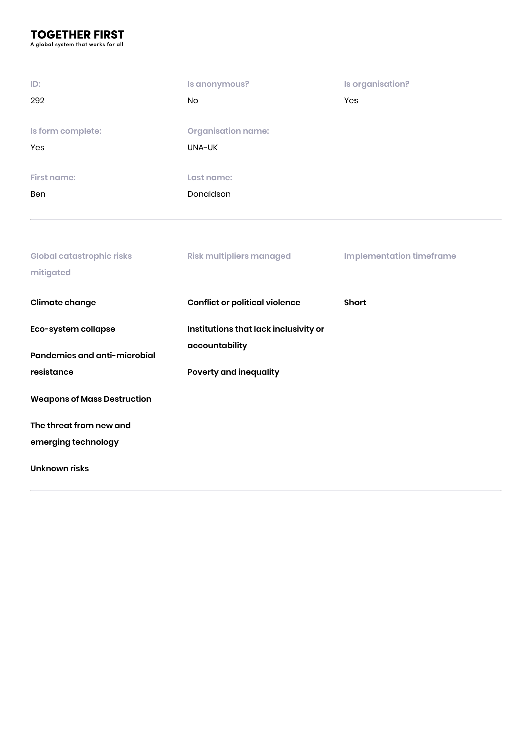# **TOGETHER FIRST**

A global system that works for all

mitigated

| ID:<br>292                       | Is anonymous?<br>No.                | Is organisation?<br>Yes         |
|----------------------------------|-------------------------------------|---------------------------------|
| Is form complete:<br>Yes         | <b>Organisation name:</b><br>UNA-UK |                                 |
| <b>First name:</b>               | Last name:                          |                                 |
| Ben                              | Donaldson                           |                                 |
| <b>Global catastrophic risks</b> | <b>Risk multipliers managed</b>     | <b>Implementation timeframe</b> |

| <b>Climate change</b>                               | <b>Conflict or political violence</b>                   | <b>Short</b> |
|-----------------------------------------------------|---------------------------------------------------------|--------------|
| Eco-system collapse<br>Pandemics and anti-microbial | Institutions that lack inclusivity or<br>accountability |              |
| resistance                                          | <b>Poverty and inequality</b>                           |              |
| <b>Weapons of Mass Destruction</b>                  |                                                         |              |
| The threat from new and                             |                                                         |              |
| emerging technology                                 |                                                         |              |
| Unknown risks                                       |                                                         |              |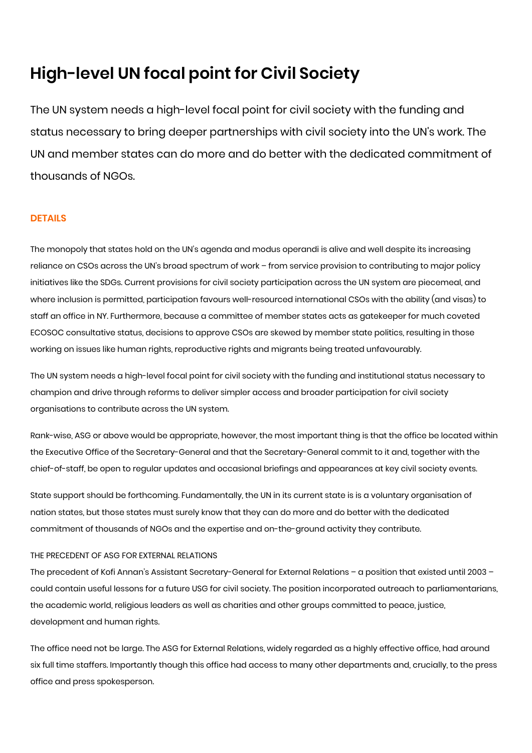# **High-level UN focal point for Civil Society**

The UN system needs a high-level focal point for civil society with the funding and status necessary to bring deeper partnerships with civil society into the UN's work. The UN and member states can do more and do better with the dedicated commitment of thousands of NGOs.

# **DETAILS**

The monopoly that states hold on the UN's agenda and modus operandi is alive and well despite its increasing reliance on CSOs across the UN's broad spectrum of work – from service provision to contributing to major policy initiatives like the SDGs. Current provisions for civil society participation across the UN system are piecemeal, and where inclusion is permitted, participation favours well-resourced international CSOs with the ability (and visas) to staff an office in NY. Furthermore, because a committee of member states acts as gatekeeper for much coveted ECOSOC consultative status, decisions to approve CSOs are skewed by member state politics, resulting in those working on issues like human rights, reproductive rights and migrants being treated unfavourably.

The UN system needs a high-level focal point for civil society with the funding and institutional status necessary to champion and drive through reforms to deliver simpler access and broader participation for civil society organisations to contribute across the UN system.

Rank-wise, ASG or above would be appropriate, however, the most important thing is that the office be located within the Executive Office of the Secretary-General and that the Secretary-General commit to it and, together with the chief-of-staff, be open to regular updates and occasional briefings and appearances at key civil society events.

State support should be forthcoming. Fundamentally, the UN in its current state is is a voluntary organisation of nation states, but those states must surely know that they can do more and do better with the dedicated commitment of thousands of NGOs and the expertise and on-the-ground activity they contribute.

# THE PRECEDENT OF ASG FOR EXTERNAL RELATIONS

The precedent of Kofi Annan's Assistant Secretary-General for External Relations - a position that existed until 2003 could contain useful lessons for a future USG for civil society. The position incorporated outreach to parliamentarians, the academic world, religious leaders as well as charities and other groups committed to peace, justice, development and human rights.

The office need not be large. The ASG for External Relations, widely regarded as a highly effective office, had around six full time staffers. Importantly though this office had access to many other departments and, crucially, to the press office and press spokesperson.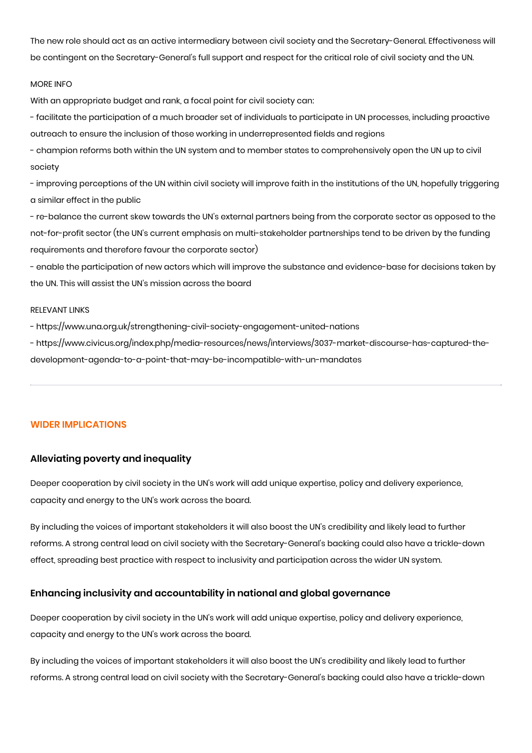The new role should act as an active intermediary between civil society and the Secretary-General. Effectiveness will be contingent on the Secretary-General's full support and respect for the critical role of civil society and the UN.

#### MORE INFO

With an appropriate budget and rank, a focal point for civil society can:

- facilitate the participation of a much broader set of individuals to participate in UN processes, including proactive outreach to ensure the inclusion of those working in underrepresented fields and regions

- champion reforms both within the UN system and to member states to comprehensively open the UN up to civil society

- improving perceptions of the UN within civil society will improve faith in the institutions of the UN, hopefully triggering a similar effect in the public

- re-balance the current skew towards the UN's external partners being from the corporate sector as opposed to the not-for-profit sector (the UN's current emphasis on multi-stakeholder partnerships tend to be driven by the funding requirements and therefore favour the corporate sector)

- enable the participation of new actors which will improve the substance and evidence-base for decisions taken by the UN. This will assist the UN's mission across the board

#### RELEVANT LINKS

- https://www.una.org.uk/strengthening-civil-society-engagement-united-nations

- https://www.civicus.org/index.php/media-resources/news/interviews/3037-market-discourse-has-captured-thedevelopment-agenda-to-a-point-that-may-be-incompatible-with-un-mandates

### **WIDER IMPLICATIONS**

# **Alleviating poverty and inequality**

Deeper cooperation by civil society in the UN's work will add unique expertise, policy and delivery experience, capacity and energy to the UN's work across the board.

By including the voices of important stakeholders it will also boost the UN's credibility and likely lead to further reforms. A strong central lead on civil society with the Secretary-General's backing could also have a trickle-down effect, spreading best practice with respect to inclusivity and participation across the wider UN system.

# **Enhancing inclusivity and accountability in national and global governance**

Deeper cooperation by civil society in the UN's work will add unique expertise, policy and delivery experience, capacity and energy to the UN's work across the board.

By including the voices of important stakeholders it will also boost the UN's credibility and likely lead to further reforms. A strong central lead on civil society with the Secretary-General's backing could also have a trickle-down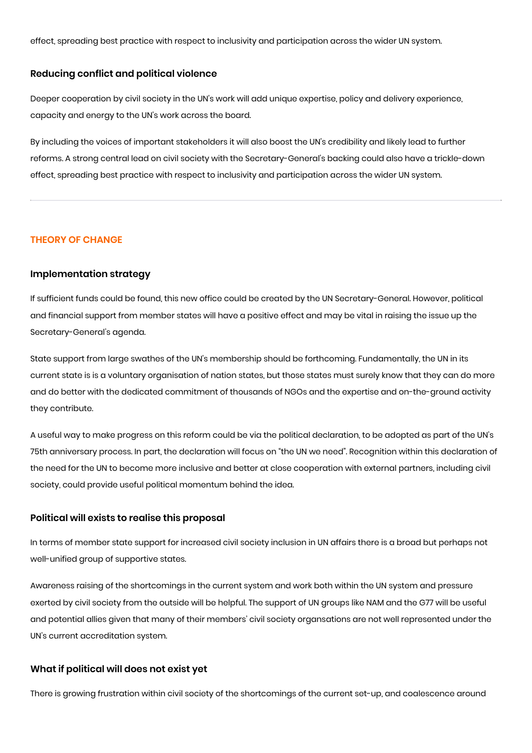effect, spreading best practice with respect to inclusivity and participation across the wider UN system.

# **Reducing conflict and political violence**

Deeper cooperation by civil society in the UN's work will add unique expertise, policy and delivery experience, capacity and energy to the UN's work across the board.

By including the voices of important stakeholders it will also boost the UN's credibility and likely lead to further reforms. A strong central lead on civil society with the Secretary-General's backing could also have a trickle-down effect, spreading best practice with respect to inclusivity and participation across the wider UN system.

#### **THEORY OF CHANGE**

# **Implementation strategy**

If sufficient funds could be found, this new office could be created by the UN Secretary-General. However, political and financial support from member states will have a positive effect and may be vital in raising the issue up the Secretary-General's agenda.

State support from large swathes of the UN's membership should be forthcoming. Fundamentally, the UN in its current state is is a voluntary organisation of nation states, but those states must surely know that they can do more and do better with the dedicated commitment of thousands of NGOs and the expertise and on-the-ground activity they contribute.

A useful way to make progress on this reform could be via the political declaration, to be adopted as part of the UN's 75th anniversary process. In part, the declaration will focus on "the UN we need". Recognition within this declaration of the need for the UN to become more inclusive and better at close cooperation with external partners, including civil society, could provide useful political momentum behind the idea.

### **Political will exists to realise this proposal**

In terms of member state support for increased civil society inclusion in UN affairs there is a broad but perhaps not well-unified group of supportive states.

Awareness raising of the shortcomings in the current system and work both within the UN system and pressure exerted by civil society from the outside will be helpful. The support of UN groups like NAM and the G77 will be useful and potential allies given that many of their members' civil society organsations are not well represented under the UN's current accreditation system.

#### **What if political will does not exist yet**

There is growing frustration within civil society of the shortcomings of the current set-up, and coalescence around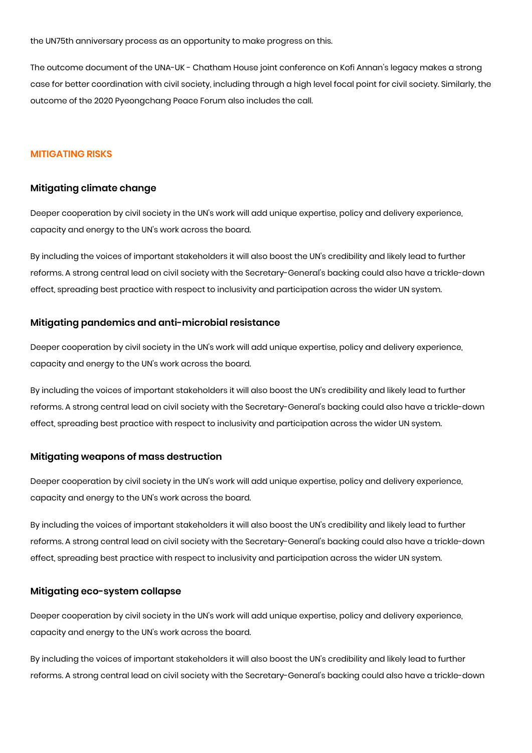the UN75th anniversary process as an opportunity to make progress on this.

The outcome document of the UNA-UK - Chatham House joint conference on Kofi Annan's legacy makes a strong case for better coordination with civil society, including through a high level focal point for civil society. Similarly, the outcome of the 2020 Pyeongchang Peace Forum also includes the call.

# **MITIGATING RISKS**

#### **Mitigating climate change**

Deeper cooperation by civil society in the UN's work will add unique expertise, policy and delivery experience, capacity and energy to the UN's work across the board.

By including the voices of important stakeholders it will also boost the UN's credibility and likely lead to further reforms. A strong central lead on civil society with the Secretary-General's backing could also have a trickle-down effect, spreading best practice with respect to inclusivity and participation across the wider UN system.

#### **Mitigating pandemics and anti-microbial resistance**

Deeper cooperation by civil society in the UN's work will add unique expertise, policy and delivery experience, capacity and energy to the UN's work across the board.

By including the voices of important stakeholders it will also boost the UN's credibility and likely lead to further reforms. A strong central lead on civil society with the Secretary-General's backing could also have a trickle-down effect, spreading best practice with respect to inclusivity and participation across the wider UN system.

#### **Mitigating weapons of mass destruction**

Deeper cooperation by civil society in the UN's work will add unique expertise, policy and delivery experience, capacity and energy to the UN's work across the board.

By including the voices of important stakeholders it will also boost the UN's credibility and likely lead to further reforms. A strong central lead on civil society with the Secretary-General's backing could also have a trickle-down effect, spreading best practice with respect to inclusivity and participation across the wider UN system.

#### **Mitigating eco-system collapse**

Deeper cooperation by civil society in the UN's work will add unique expertise, policy and delivery experience, capacity and energy to the UN's work across the board.

By including the voices of important stakeholders it will also boost the UN's credibility and likely lead to further reforms. A strong central lead on civil society with the Secretary-General's backing could also have a trickle-down